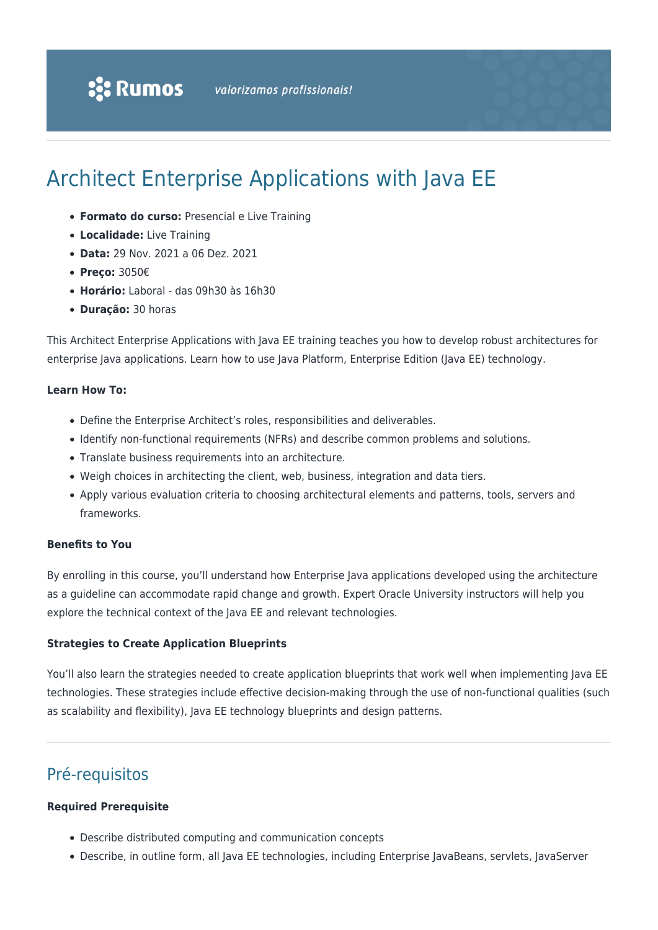# Architect Enterprise Applications with Java EE

- **Formato do curso:** Presencial e Live Training
- **Localidade:** Live Training
- **Data:** 29 Nov. 2021 a 06 Dez. 2021
- **Preço:** 3050€
- **Horário:** Laboral das 09h30 às 16h30
- **Duração:** 30 horas

This Architect Enterprise Applications with Java EE training teaches you how to develop robust architectures for enterprise Java applications. Learn how to use Java Platform, Enterprise Edition (Java EE) technology.

#### **Learn How To:**

- Define the Enterprise Architect's roles, responsibilities and deliverables.
- Identify non-functional requirements (NFRs) and describe common problems and solutions.
- Translate business requirements into an architecture.
- Weigh choices in architecting the client, web, business, integration and data tiers.
- Apply various evaluation criteria to choosing architectural elements and patterns, tools, servers and frameworks.

#### **Benefits to You**

By enrolling in this course, you'll understand how Enterprise Java applications developed using the architecture as a guideline can accommodate rapid change and growth. Expert Oracle University instructors will help you explore the technical context of the Java EE and relevant technologies.

#### **Strategies to Create Application Blueprints**

You'll also learn the strategies needed to create application blueprints that work well when implementing Java EE technologies. These strategies include effective decision-making through the use of non-functional qualities (such as scalability and flexibility), Java EE technology blueprints and design patterns.

# Pré-requisitos

#### **Required Prerequisite**

- Describe distributed computing and communication concepts
- Describe, in outline form, all Java EE technologies, including Enterprise JavaBeans, servlets, JavaServer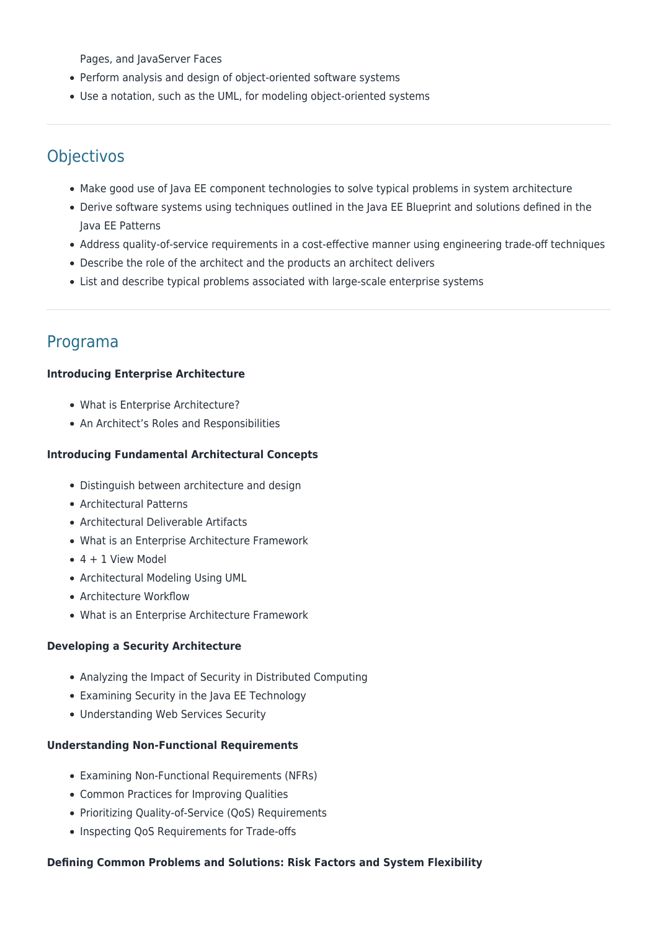Pages, and JavaServer Faces

- Perform analysis and design of object-oriented software systems
- Use a notation, such as the UML, for modeling object-oriented systems

# Objectivos

- Make good use of Java EE component technologies to solve typical problems in system architecture
- Derive software systems using techniques outlined in the Java EE Blueprint and solutions defined in the Java EE Patterns
- Address quality-of-service requirements in a cost-effective manner using engineering trade-off techniques
- Describe the role of the architect and the products an architect delivers
- List and describe typical problems associated with large-scale enterprise systems

# Programa

#### **Introducing Enterprise Architecture**

- What is Enterprise Architecture?
- An Architect's Roles and Responsibilities

#### **Introducing Fundamental Architectural Concepts**

- Distinguish between architecture and design
- Architectural Patterns
- Architectural Deliverable Artifacts
- What is an Enterprise Architecture Framework
- $\bullet$  4 + 1 View Model
- Architectural Modeling Using UML
- Architecture Workflow
- What is an Enterprise Architecture Framework

### **Developing a Security Architecture**

- Analyzing the Impact of Security in Distributed Computing
- Examining Security in the Java EE Technology
- Understanding Web Services Security

#### **Understanding Non-Functional Requirements**

- Examining Non-Functional Requirements (NFRs)
- Common Practices for Improving Qualities
- Prioritizing Quality-of-Service (QoS) Requirements
- Inspecting QoS Requirements for Trade-offs

#### **Defining Common Problems and Solutions: Risk Factors and System Flexibility**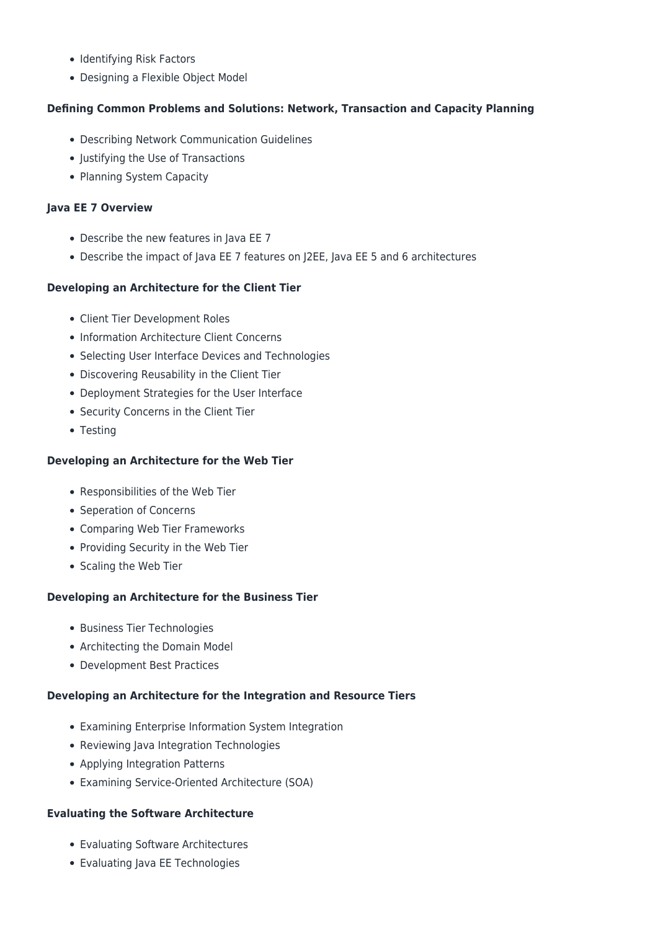- Identifying Risk Factors
- Designing a Flexible Object Model

# **Defining Common Problems and Solutions: Network, Transaction and Capacity Planning**

- Describing Network Communication Guidelines
- Justifying the Use of Transactions
- Planning System Capacity

# **Java EE 7 Overview**

- Describe the new features in Java EE 7
- Describe the impact of Java EE 7 features on J2EE, Java EE 5 and 6 architectures

# **Developing an Architecture for the Client Tier**

- Client Tier Development Roles
- Information Architecture Client Concerns
- Selecting User Interface Devices and Technologies
- Discovering Reusability in the Client Tier
- Deployment Strategies for the User Interface
- Security Concerns in the Client Tier
- Testing

# **Developing an Architecture for the Web Tier**

- Responsibilities of the Web Tier
- Seperation of Concerns
- Comparing Web Tier Frameworks
- Providing Security in the Web Tier
- Scaling the Web Tier

### **Developing an Architecture for the Business Tier**

- Business Tier Technologies
- Architecting the Domain Model
- Development Best Practices

### **Developing an Architecture for the Integration and Resource Tiers**

- Examining Enterprise Information System Integration
- Reviewing Java Integration Technologies
- Applying Integration Patterns
- Examining Service-Oriented Architecture (SOA)

### **Evaluating the Software Architecture**

- Evaluating Software Architectures
- Evaluating Java EE Technologies